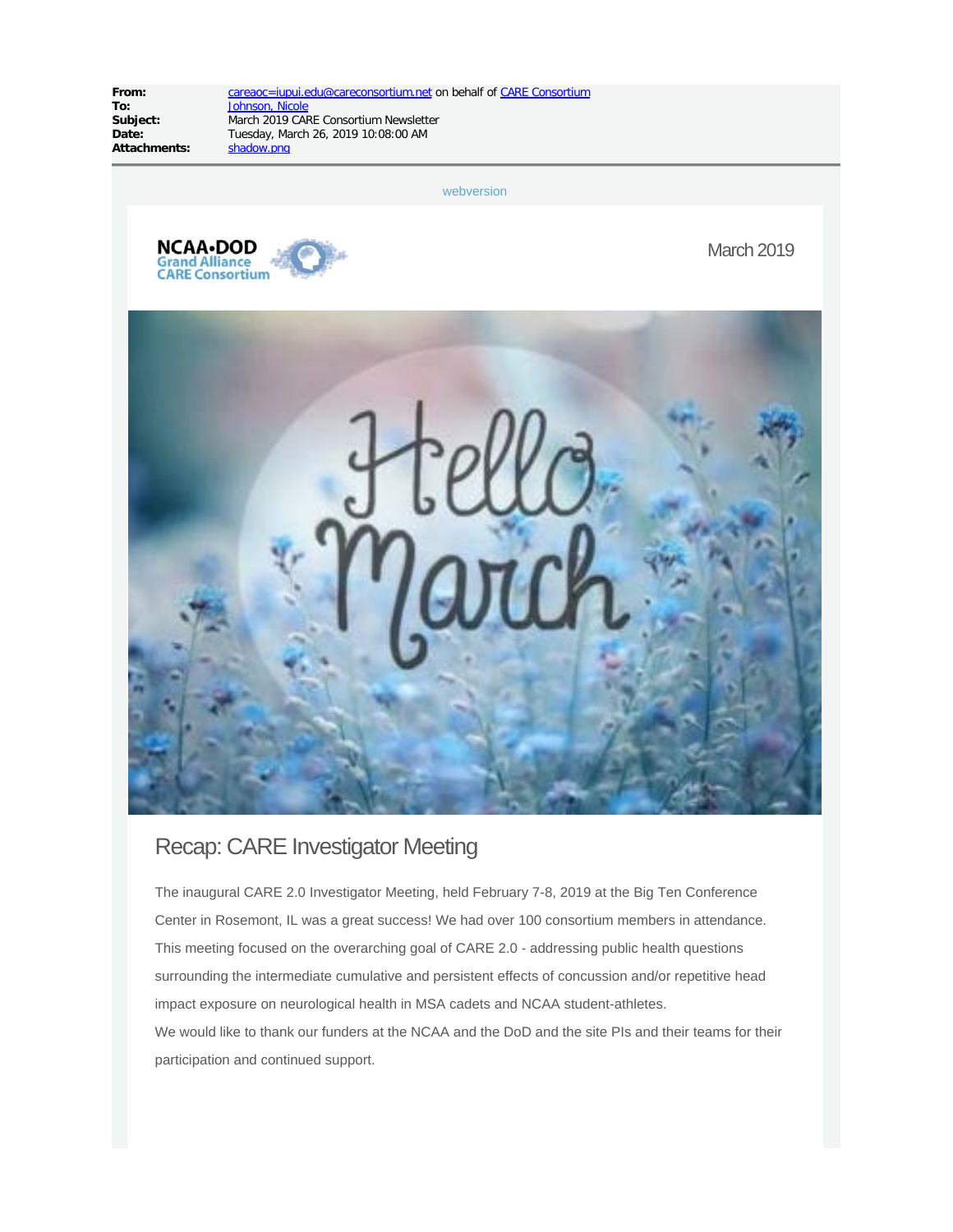To: **[Johnson, Nicole](mailto:njohnso2@iu.edu)**<br> **Subject:** March 2019 CAP **Attachments:** 

**From:** [careaoc=iupui.edu@careconsortium.net](mailto:careaoc=iupui.edu@careconsortium.net) on behalf of [CARE Consortium](mailto:careaoc@iupui.edu)<br> **To:** Johnson, Nicole **Subject:** March 2019 CARE Consortium Newsletter<br>
Date: Tuesday, March 26, 2019 10:08:00 AM Tuesday, March 26, 2019 10:08:00 AM<br>
shadow.png



#### Recap: CARE Investigator Meeting

The inaugural CARE 2.0 Investigator Meeting, held February 7-8, 2019 at the Big Ten Conference Center in Rosemont, IL was a great success! We had over 100 consortium members in attendance. This meeting focused on the overarching goal of CARE 2.0 - addressing public health questions surrounding the intermediate cumulative and persistent effects of concussion and/or repetitive head impact exposure on neurological health in MSA cadets and NCAA student-athletes. We would like to thank our funders at the NCAA and the DoD and the site PIs and their teams for their participation and continued support.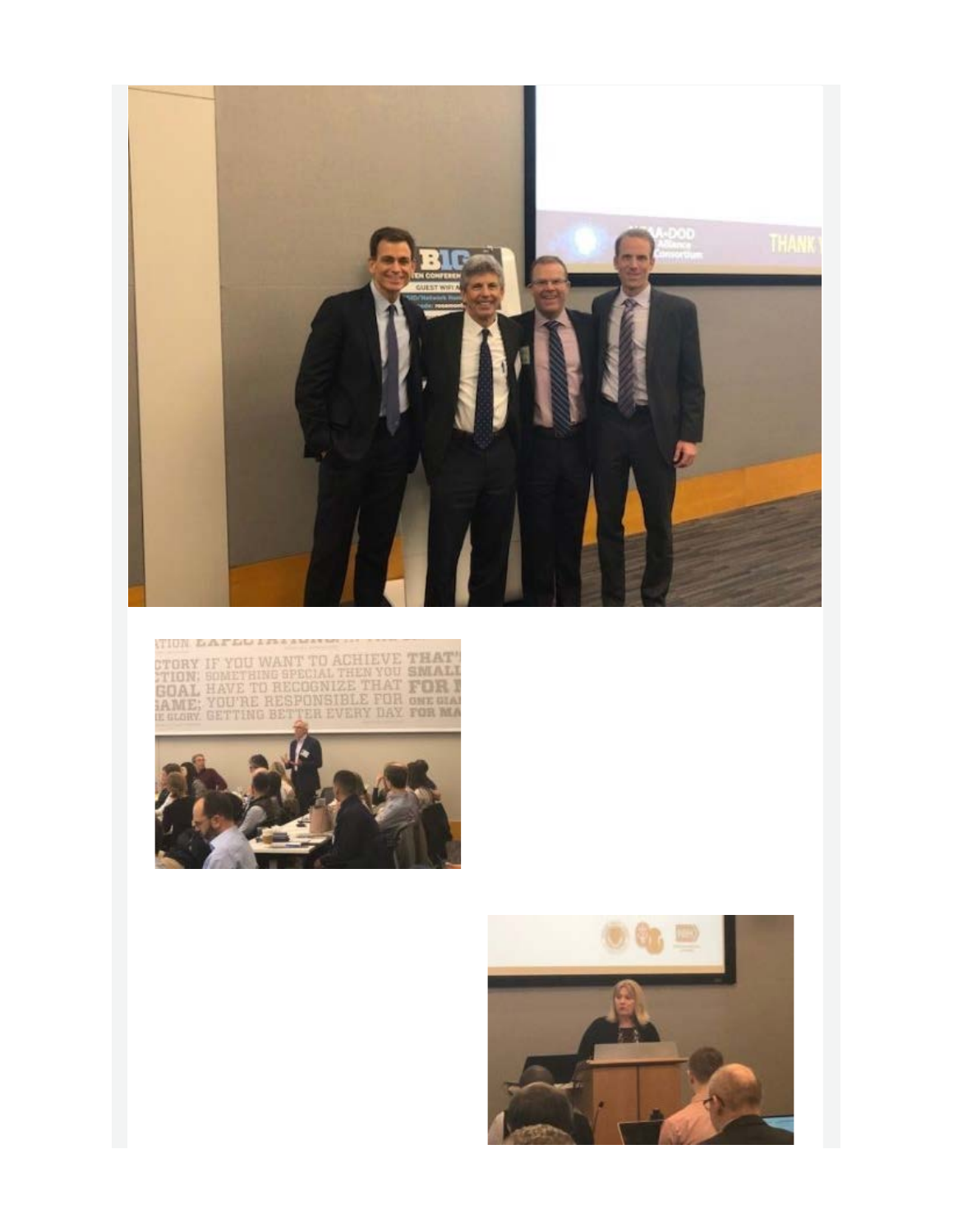





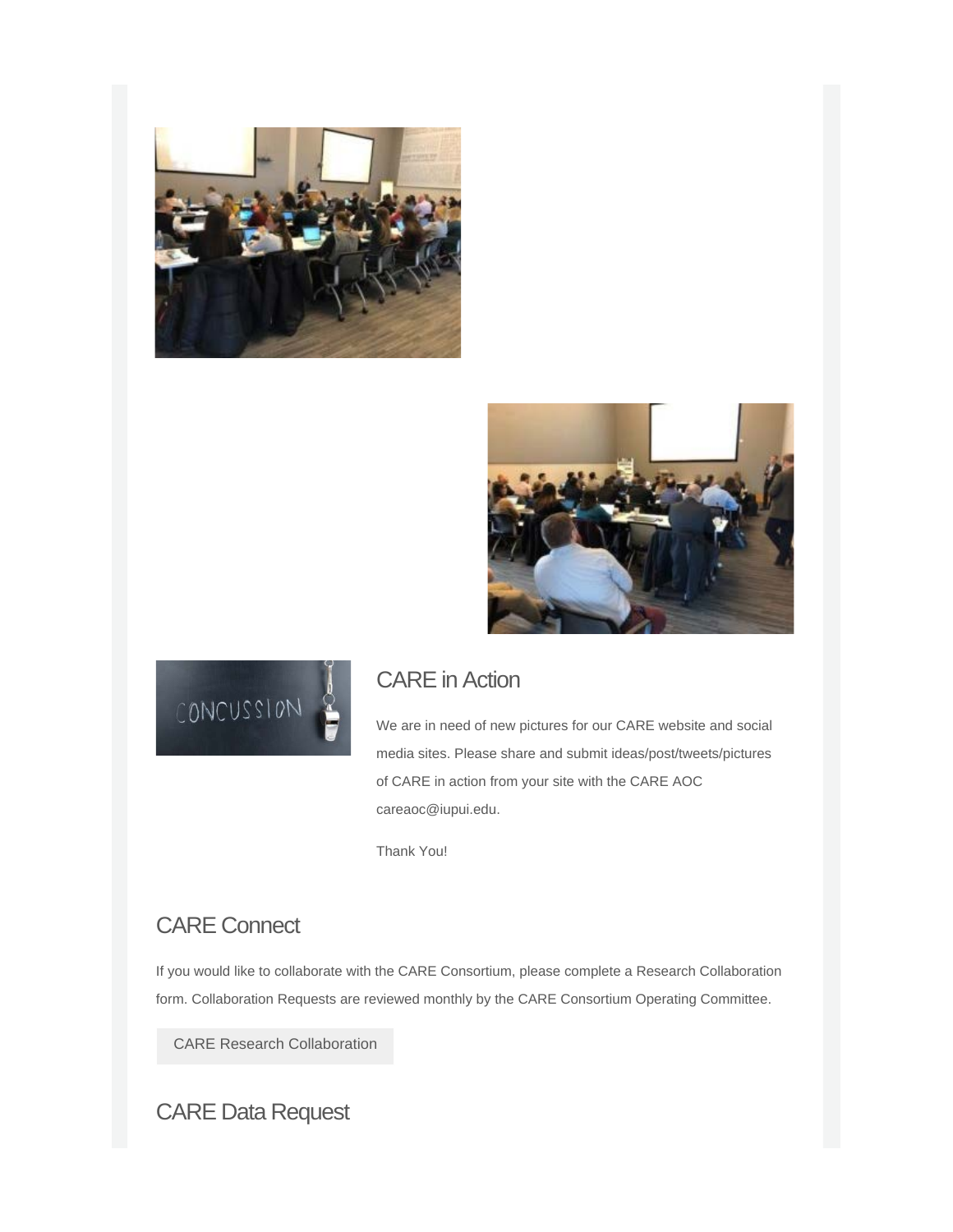





# CARE in Action

We are in need of new pictures for our CARE website and social media sites. Please share and submit ideas/post/tweets/pictures of CARE in action from your site with the CARE AOC careaoc@iupui.edu.

Thank You!

# CARE Connect

If you would like to collaborate with the CARE Consortium, please complete a Research Collaboration form. Collaboration Requests are reviewed monthly by the CARE Consortium Operating Committee.

[CARE Research Collaboration](http://careconsortium.net/mailster/3133/7232e321d230c175912fcbbafb0ae99d/aHR0cHM6Ly9yZWRjYXAudWl0cy5pdS5lZHUvc3VydmV5cy8_cz1uZ1VRcHdpdUhH)

## CARE Data Request